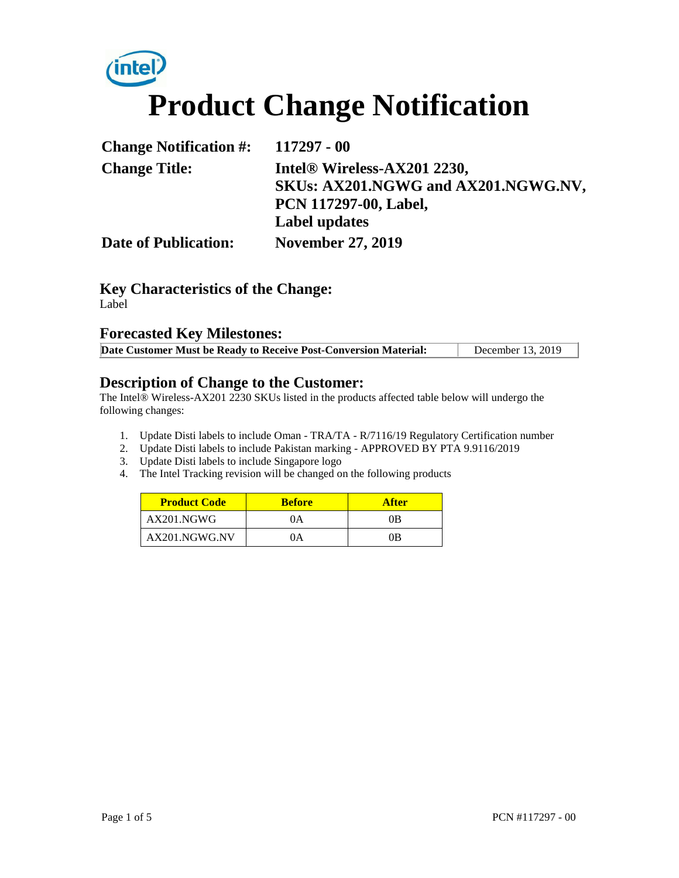# (intel) **Product Change Notification**

| <b>Change Notification #:</b> | 117297 - 00                         |
|-------------------------------|-------------------------------------|
| <b>Change Title:</b>          | Intel® Wireless-AX201 2230,         |
|                               | SKUs: AX201.NGWG and AX201.NGWG.NV, |
|                               | <b>PCN 117297-00, Label,</b>        |
|                               | <b>Label updates</b>                |
| <b>Date of Publication:</b>   | <b>November 27, 2019</b>            |

### **Key Characteristics of the Change:**

Label

#### **Forecasted Key Milestones:**

| Date Customer Must be Ready to Receive Post-Conversion Material: | December 13, 2019 |
|------------------------------------------------------------------|-------------------|
|                                                                  |                   |

#### **Description of Change to the Customer:**

The Intel® Wireless-AX201 2230 SKUs listed in the products affected table below will undergo the following changes:

- 1. Update Disti labels to include Oman TRA/TA R/7116/19 Regulatory Certification number
- 2. Update Disti labels to include Pakistan marking APPROVED BY PTA 9.9116/2019
- 3. Update Disti labels to include Singapore logo
- 4. The Intel Tracking revision will be changed on the following products

| <b>Product Code</b> | <b>Before</b> | <b>After</b> |
|---------------------|---------------|--------------|
| AX201.NGWG          | (A)           | ΩB           |
| AX201.NGWG.NV       | 0A            | ΛR           |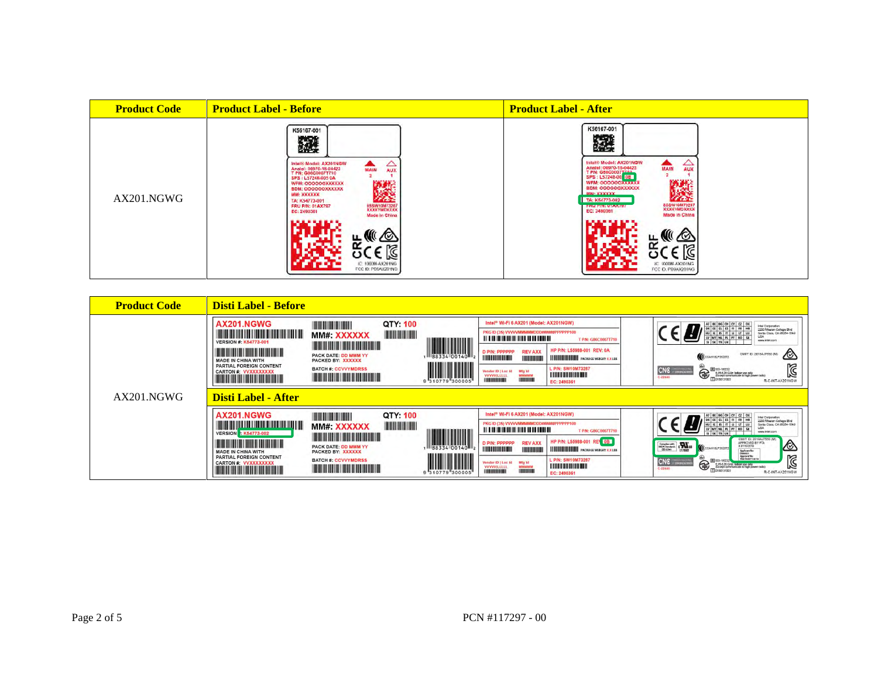| <b>Product Code</b> | <b>Product Label - Before</b>                                                                                                                                                                                                                                                                                                                                             | <b>Product Label - After</b>                                                                                                                                                                                                                                                                                                                                                                           |
|---------------------|---------------------------------------------------------------------------------------------------------------------------------------------------------------------------------------------------------------------------------------------------------------------------------------------------------------------------------------------------------------------------|--------------------------------------------------------------------------------------------------------------------------------------------------------------------------------------------------------------------------------------------------------------------------------------------------------------------------------------------------------------------------------------------------------|
| AX201.NGWG          | K56167-001<br>潑<br>Infel® Model: AX201NGW<br>€<br><b>TAIN</b><br>Analel: 06970-18-04423<br>T PN: G86C0007T710<br>SPS   L57248-005 0A<br>WFM: OOOOOOXXXXXX<br><b>EDM: COOOOOXXXXXX</b><br>MM: XXXXXX<br>n an<br>TA: K54773-001<br><b>ASSW10M73287</b><br>KALLYMCKXAL<br><b>FRU PIN: 01AX797</b><br>EC: 2490361<br>Made in China<br>IC: 1000M-AX201NG<br>FCC ID: PD9AX201NG | K56167-001<br>蹳<br>$\sum_{\text{AUX}}$<br>Intel® Model: AX201NGW<br>Anatel: 06970-18-04423<br>T PN: 086000077744<br>SPS: L57248-00 <mark>08</mark><br><b>MAIN</b><br>微動物<br>WFM: GODOOOXXXXXX<br>BDM: 000000XXXXXX<br>MM-YYYYYY<br>---<br>TA: K54773-002<br>8SSW10M73287<br>XXXXYMDXXXX<br><b>FRU FIN: UTAATST</b><br>EC: 2490361<br><b>Made in China</b><br>IC: (000M-AX201NG)<br>FCC (0: P09AX201NG) |

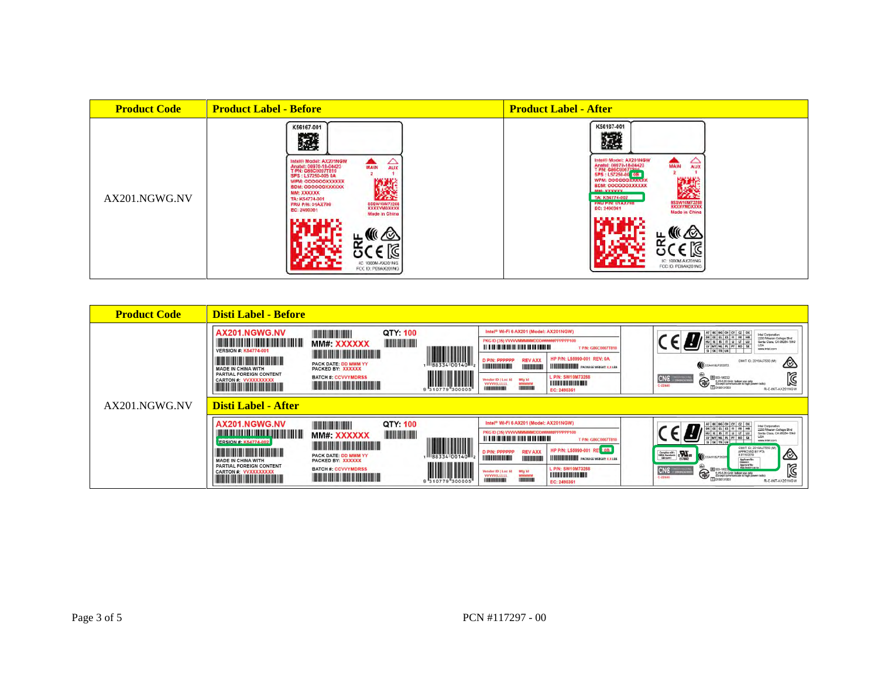| <b>Product Code</b> | <b>Product Label - Before</b>                                                                                                                                                                                                                                                                                                                                                        | <b>Product Label - After</b>                                                                                                                                                                                                                                                                                                                                          |
|---------------------|--------------------------------------------------------------------------------------------------------------------------------------------------------------------------------------------------------------------------------------------------------------------------------------------------------------------------------------------------------------------------------------|-----------------------------------------------------------------------------------------------------------------------------------------------------------------------------------------------------------------------------------------------------------------------------------------------------------------------------------------------------------------------|
| AX201.NGWG.NV       | K56167-001<br>蹳<br>Intel® Model: AX201NGW<br>Anatel: 06970-18-04423<br>T PN: 085C0007T810<br>△<br>MAIN<br>AUX<br>SPS: L57250-005 0A<br>防御法<br><b>WFM: GODDOOXXXXXX</b><br>BDM: 000000XXXXXX<br>MM: XXXXXX<br>--<br>TA: K54774-001<br><b>ESSW10M732K6</b><br>XXXXVMDXXXXX<br><b>FRU P/N: 01AX798</b><br>EC: 2490361<br><b>Made In China</b><br>KC 1000M-AX201NG<br>FCC ID: PD9AX201NG | K56167-001<br>蹳<br>Intelli Model: AX201NGW<br>△<br>MAIN<br>Anatel: 06970-18-04423<br>T PN: GalcO0077340<br>SPS: L57250-00 06<br><b>AUX</b><br><b>WFM. DOOOOOXXXXXX</b><br><b>BDM: QOOOOOXXXXXXX</b><br>ANA-VANAVA<br>TA: K54774-002<br><b>RSSW10M73288</b><br><b>FRU FINI UTAX/98</b><br>EC: 2490361<br>Made in China<br>ć<br>IC: 1000M-AX201NG<br>FCC ID: PDBAX201NG |

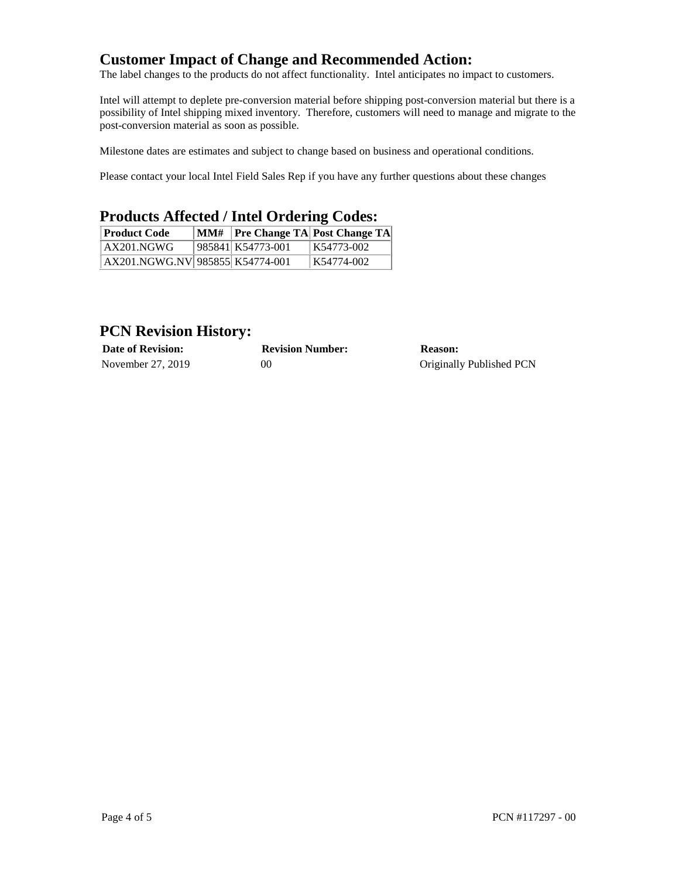#### **Customer Impact of Change and Recommended Action:**

The label changes to the products do not affect functionality. Intel anticipates no impact to customers.

Intel will attempt to deplete pre-conversion material before shipping post-conversion material but there is a possibility of Intel shipping mixed inventory. Therefore, customers will need to manage and migrate to the post-conversion material as soon as possible.

Milestone dates are estimates and subject to change based on business and operational conditions.

Please contact your local Intel Field Sales Rep if you have any further questions about these changes

#### **Products Affected / Intel Ordering Codes:**

| <b>Product Code</b>             |                   | MM#   Pre Change TA  Post Change TA |
|---------------------------------|-------------------|-------------------------------------|
| AX201.NGWG                      | 985841 K54773-001 | K54773-002                          |
| AX201.NGWG.NV 985855 K54774-001 |                   | K54774-002                          |

#### **PCN Revision History:**

| <b>Date of Revision:</b> | <b>Revision Number:</b> | <b>Reason:</b>           |
|--------------------------|-------------------------|--------------------------|
| November 27, 2019        | 0C                      | Originally Published PCN |